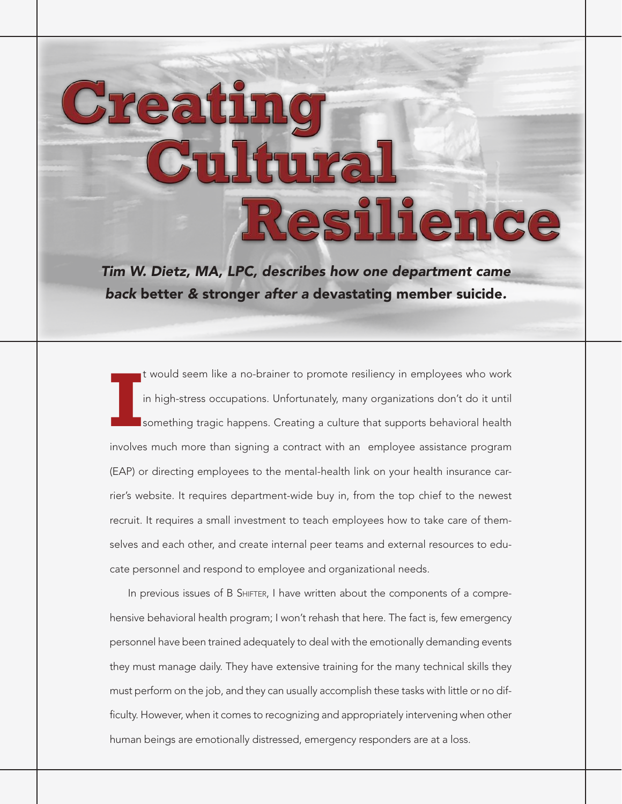# Creati ltura Resilience

*Tim W. Dietz, MA, LPC, describes how one department came back* better *&* stronger *after a* devastating member suicide*.*

**I** t would seem like a no-brainer to promote resiliency in employees who work in high-stress occupations. Unfortunately, many organizations don't do it until something tragic happens. Creating a culture that supports behavioral health involves much more than signing a contract with an employee assistance program (EAP) or directing employees to the mental-health link on your health insurance carrier's website. It requires department-wide buy in, from the top chief to the newest recruit. It requires a small investment to teach employees how to take care of themselves and each other, and create internal peer teams and external resources to educate personnel and respond to employee and organizational needs.

In previous issues of B SHIFTER, I have written about the components of a comprehensive behavioral health program; I won't rehash that here. The fact is, few emergency personnel have been trained adequately to deal with the emotionally demanding events they must manage daily. They have extensive training for the many technical skills they must perform on the job, and they can usually accomplish these tasks with little or no difficulty. However, when it comes to recognizing and appropriately intervening when other human beings are emotionally distressed, emergency responders are at a loss.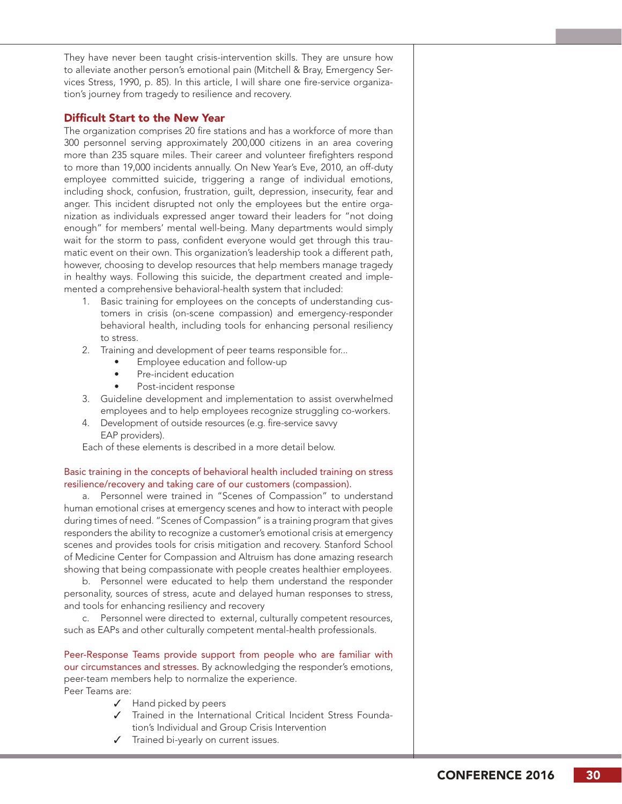They have never been taught crisis-intervention skills. They are unsure how to alleviate another person's emotional pain (Mitchell & Bray, Emergency Services Stress, 1990, p. 85). In this article, I will share one fire-service organization's journey from tragedy to resilience and recovery.

### Difficult Start to the New Year

The organization comprises 20 fire stations and has a workforce of more than 300 personnel serving approximately 200,000 citizens in an area covering more than 235 square miles. Their career and volunteer firefighters respond to more than 19,000 incidents annually. On New Year's Eve, 2010, an off-duty employee committed suicide, triggering a range of individual emotions, including shock, confusion, frustration, guilt, depression, insecurity, fear and anger. This incident disrupted not only the employees but the entire organization as individuals expressed anger toward their leaders for "not doing enough" for members' mental well-being. Many departments would simply wait for the storm to pass, confident everyone would get through this traumatic event on their own. This organization's leadership took a different path, however, choosing to develop resources that help members manage tragedy in healthy ways. Following this suicide, the department created and implemented a comprehensive behavioral-health system that included:

- 1. Basic training for employees on the concepts of understanding customers in crisis (on-scene compassion) and emergency-responder behavioral health, including tools for enhancing personal resiliency to stress.
- 2. Training and development of peer teams responsible for...
	- Employee education and follow-up
	- Pre-incident education
	- Post-incident response
- 3. Guideline development and implementation to assist overwhelmed employees and to help employees recognize struggling co-workers.
- 4. Development of outside resources (e.g. fire-service savvy EAP providers).

Each of these elements is described in a more detail below.

#### Basic training in the concepts of behavioral health included training on stress resilience/recovery and taking care of our customers (compassion).

a. Personnel were trained in "Scenes of Compassion" to understand human emotional crises at emergency scenes and how to interact with people during times of need. "Scenes of Compassion" is a training program that gives responders the ability to recognize a customer's emotional crisis at emergency scenes and provides tools for crisis mitigation and recovery. Stanford School of Medicine Center for Compassion and Altruism has done amazing research showing that being compassionate with people creates healthier employees.

b. Personnel were educated to help them understand the responder personality, sources of stress, acute and delayed human responses to stress, and tools for enhancing resiliency and recovery

c. Personnel were directed to external, culturally competent resources, such as EAPs and other culturally competent mental-health professionals.

Peer-Response Teams provide support from people who are familiar with our circumstances and stresses. By acknowledging the responder's emotions, peer-team members help to normalize the experience. Peer Teams are:

- ✓ Hand picked by peers
- ✓ Trained in the International Critical Incident Stress Foundation's Individual and Group Crisis Intervention
- ✓ Trained bi-yearly on current issues.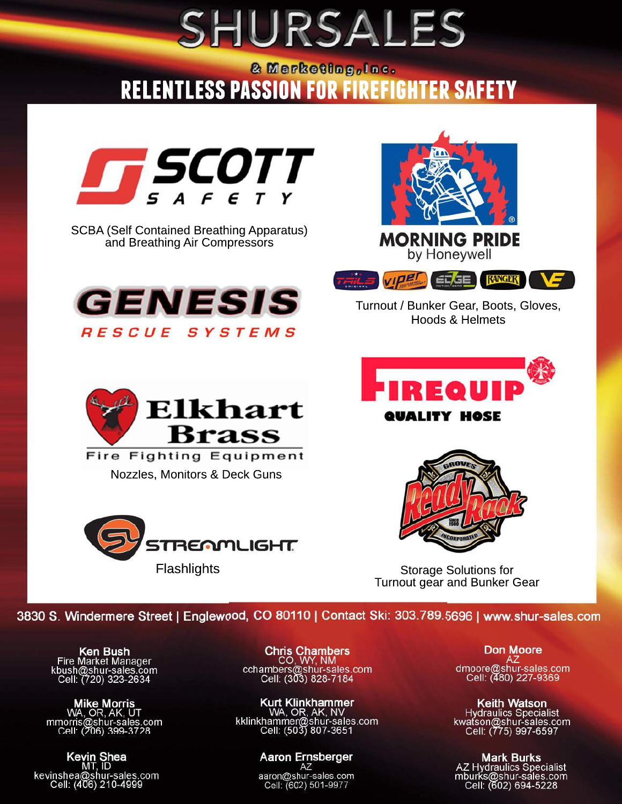## SHURSALES

### **RELENTLESS PASSION FOR FIREFIGHTER SAFETY**



SCBA (Self Contained Breathing Apparatus) and Breathing Air Compressors





Turnout / Bunker Gear, Boots, Gloves, Hoods & Helmets



**Fire Fighting Equipment** Nozzles, Monitors & Deck Guns







Storage Solutions for Turnout gear and Bunker Gear

3830 S. Windermere Street | Englewood, CO 80110 | Contact Ski: 303.789.5696 | www.shur-sales.com

**Ken Bush**<br>Fire Market Manager<br>kbush@shur-sales.com<br>Cell: (720) 323-2634

Mike Morris<br>WA, OR, AK, UT<br>mmorris@shur-sales.com<br>Cell: (206) 399-3728

**Kevin Shea**<br>MT, ID<br>kevinshea@shur-sales.com<br>Cell: (406) 210-4999

Chris Chambers<br>CO, WY, NM<br>cchambers@shur-sales.com<br>Cell: (303) 828-7184

Kurt Klinkhammer<br>WA, OR, AK, NV<br>kklinkhammer@shur-sales.com<br>Cell: (503) 807-3651

Aaron Ernsberger aaron@shur-sales.com<br>Cell: (602) 501-9977

**Don Moore** dmoore@shur-sales.com<br>Cell: (480) 227-9369

Keith Watson<br>Hydraulics Specialist<br>kwatson@shur-sales.com<br>Cell: (775) 997-6597

Mark Burks<br>AZ Hydraulics Specialist<br>mburks@shur-sales.com<br>Cell: (602) 694-5228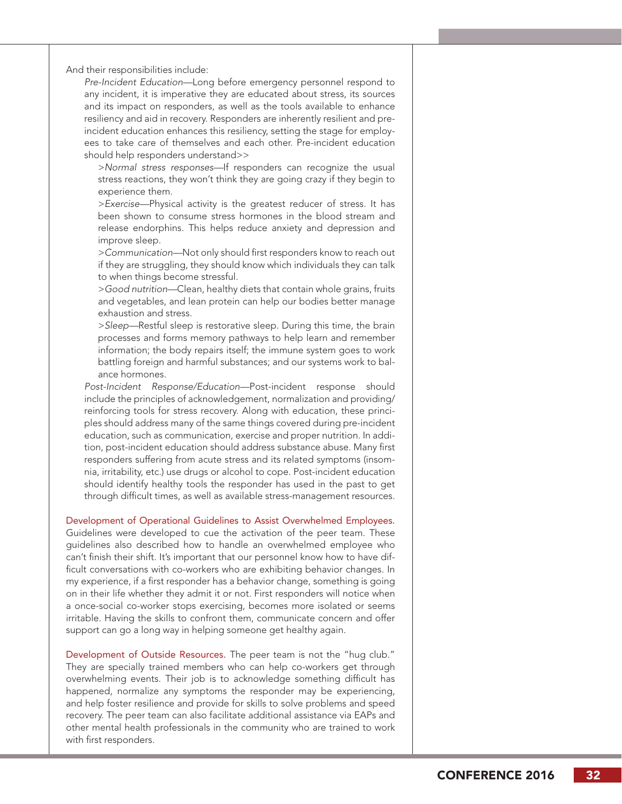And their responsibilities include:

*Pre-Incident Education—*Long before emergency personnel respond to any incident, it is imperative they are educated about stress, its sources and its impact on responders, as well as the tools available to enhance resiliency and aid in recovery. Responders are inherently resilient and preincident education enhances this resiliency, setting the stage for employees to take care of themselves and each other. Pre-incident education should help responders understand>>

>*Normal stress responses—*If responders can recognize the usual stress reactions, they won't think they are going crazy if they begin to experience them.

>*Exercise—*Physical activity is the greatest reducer of stress. It has been shown to consume stress hormones in the blood stream and release endorphins. This helps reduce anxiety and depression and improve sleep.

>*Communication—*Not only should first responders know to reach out if they are struggling, they should know which individuals they can talk to when things become stressful.

>*Good nutrition—*Clean, healthy diets that contain whole grains, fruits and vegetables, and lean protein can help our bodies better manage exhaustion and stress.

>*Sleep—*Restful sleep is restorative sleep. During this time, the brain processes and forms memory pathways to help learn and remember information; the body repairs itself; the immune system goes to work battling foreign and harmful substances; and our systems work to balance hormones.

*Post-Incident Response/Education—*Post-incident response should include the principles of acknowledgement, normalization and providing/ reinforcing tools for stress recovery. Along with education, these principles should address many of the same things covered during pre-incident education, such as communication, exercise and proper nutrition. In addition, post-incident education should address substance abuse. Many first responders suffering from acute stress and its related symptoms (insomnia, irritability, etc.) use drugs or alcohol to cope. Post-incident education should identify healthy tools the responder has used in the past to get through difficult times, as well as available stress-management resources.

Development of Operational Guidelines to Assist Overwhelmed Employees.

Guidelines were developed to cue the activation of the peer team. These guidelines also described how to handle an overwhelmed employee who can't finish their shift. It's important that our personnel know how to have difficult conversations with co-workers who are exhibiting behavior changes. In my experience, if a first responder has a behavior change, something is going on in their life whether they admit it or not. First responders will notice when a once-social co-worker stops exercising, becomes more isolated or seems irritable. Having the skills to confront them, communicate concern and offer support can go a long way in helping someone get healthy again.

Development of Outside Resources. The peer team is not the "hug club." They are specially trained members who can help co-workers get through overwhelming events. Their job is to acknowledge something difficult has happened, normalize any symptoms the responder may be experiencing, and help foster resilience and provide for skills to solve problems and speed recovery. The peer team can also facilitate additional assistance via EAPs and other mental health professionals in the community who are trained to work with first responders.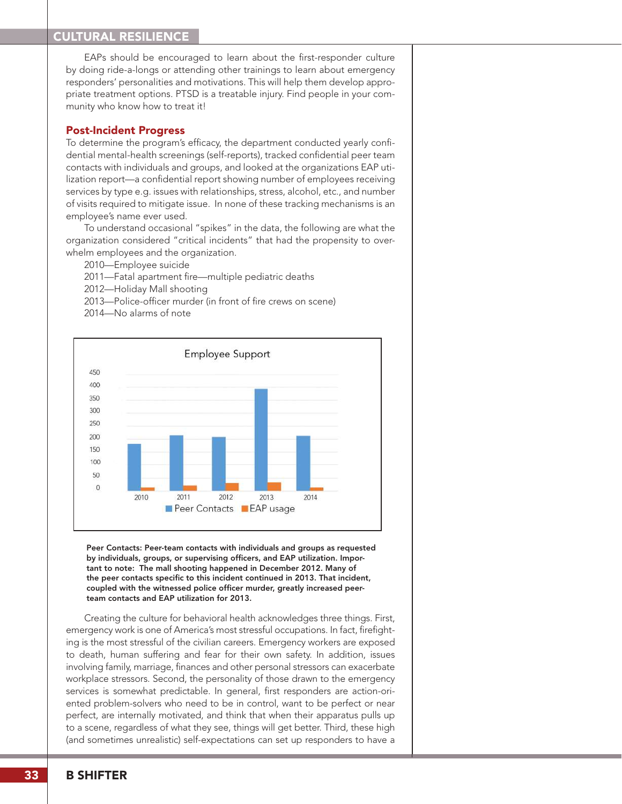### CULTURAL RESILIENCE

EAPs should be encouraged to learn about the first-responder culture by doing ride-a-longs or attending other trainings to learn about emergency responders' personalities and motivations. This will help them develop appropriate treatment options. PTSD is a treatable injury. Find people in your community who know how to treat it!

### Post-Incident Progress

To determine the program's efficacy, the department conducted yearly confidential mental-health screenings (self-reports), tracked confidential peer team contacts with individuals and groups, and looked at the organizations EAP utilization report—a confidential report showing number of employees receiving services by type e.g. issues with relationships, stress, alcohol, etc., and number of visits required to mitigate issue. In none of these tracking mechanisms is an employee's name ever used.

To understand occasional "spikes" in the data, the following are what the organization considered "critical incidents" that had the propensity to overwhelm employees and the organization.

2010—Employee suicide

- 2011—Fatal apartment fire—multiple pediatric deaths
- 2012—Holiday Mall shooting
- 2013—Police-officer murder (in front of fire crews on scene)
- 2014—No alarms of note



Peer Contacts: Peer-team contacts with individuals and groups as requested by individuals, groups, or supervising officers, and EAP utilization. Important to note: The mall shooting happened in December 2012. Many of the peer contacts specific to this incident continued in 2013. That incident, coupled with the witnessed police officer murder, greatly increased peerteam contacts and EAP utilization for 2013.

Creating the culture for behavioral health acknowledges three things. First, emergency work is one of America's most stressful occupations. In fact, firefighting is the most stressful of the civilian careers. Emergency workers are exposed to death, human suffering and fear for their own safety. In addition, issues involving family, marriage, finances and other personal stressors can exacerbate workplace stressors. Second, the personality of those drawn to the emergency services is somewhat predictable. In general, first responders are action-oriented problem-solvers who need to be in control, want to be perfect or near perfect, are internally motivated, and think that when their apparatus pulls up to a scene, regardless of what they see, things will get better. Third, these high (and sometimes unrealistic) self-expectations can set up responders to have a